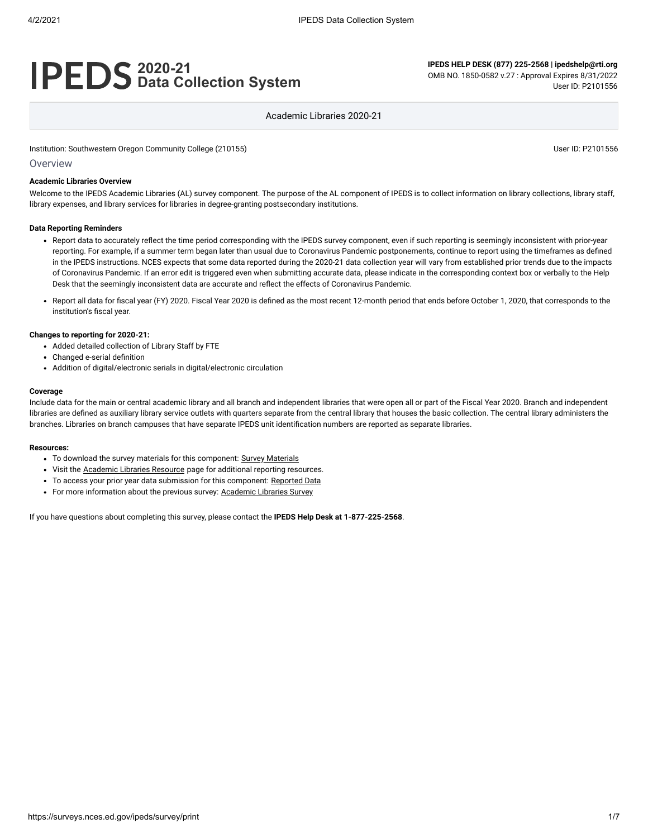# **2020-21 Data Collection System**

**IPEDS HELP DESK (877) 225-2568 | ipedshelp@rti.org** OMB NO. 1850-0582 v.27 : Approval Expires 8/31/2022 User ID: P2101556

Academic Libraries 2020-21

Institution: Southwestern Oregon Community College (210155) Community College (2101556

Overview

#### **Academic Libraries Overview**

Welcome to the IPEDS Academic Libraries (AL) survey component. The purpose of the AL component of IPEDS is to collect information on library collections, library staff, library expenses, and library services for libraries in degree-granting postsecondary institutions.

#### **Data Reporting Reminders**

- Report data to accurately reflect the time period corresponding with the IPEDS survey component, even if such reporting is seemingly inconsistent with prior-year reporting. For example, if a summer term began later than usual due to Coronavirus Pandemic postponements, continue to report using the timeframes as defined in the IPEDS instructions. NCES expects that some data reported during the 2020-21 data collection year will vary from established prior trends due to the impacts of Coronavirus Pandemic. If an error edit is triggered even when submitting accurate data, please indicate in the corresponding context box or verbally to the Help Desk that the seemingly inconsistent data are accurate and reflect the effects of Coronavirus Pandemic.
- Report all data for fiscal year (FY) 2020. Fiscal Year 2020 is defined as the most recent 12-month period that ends before October 1, 2020, that corresponds to the institution's fiscal year.

#### **Changes to reporting for 2020-21:**

- Added detailed collection of Library Staff by FTE
- Changed e-serial definition
- Addition of digital/electronic serials in digital/electronic circulation

#### **Coverage**

Include data for the main or central academic library and all branch and independent libraries that were open all or part of the Fiscal Year 2020. Branch and independent libraries are defined as auxiliary library service outlets with quarters separate from the central library that houses the basic collection. The central library administers the branches. Libraries on branch campuses that have separate IPEDS unit identification numbers are reported as separate libraries.

#### **Resources:**

- To download the survey materials for this component: Survey [Materials](https://surveys.nces.ed.gov/ipeds/public/survey-materials/index)
- Visit the [Academic](https://nces.ed.gov/ipeds/report-your-data/resource-center-academic-libraries) Libraries Resource page for additional reporting resources.
- To access your prior year data submission for this component: [Reported Data](https://surveys.nces.ed.gov/IPEDS_py/DataForms.aspx?f0e9e4efc4dfb8adacabacb0b0a1eef0edf1e0f4c4dfb8acb0a1f0eee0edc4dfb8cbadacabacb0b0b1a1f0e9e4efc9dce8e0b8ceeaf0efe3f2e0eeefe0ede99bcaede0e2eae99bbeeae8e8f0e9e4eff49bbeeae7e7e0e2e0a1ebedeadee0eeeeb8e0f3efe0ede9dce7a1eddfefb8afaaadaaadabadac9bacb5afacb5b0ab9bcbc8)
- For more information about the previous survey: [Academic](https://nces.ed.gov/surveys/libraries/academic.asp) Libraries Survey

If you have questions about completing this survey, please contact the **IPEDS Help Desk at 1-877-225-2568**.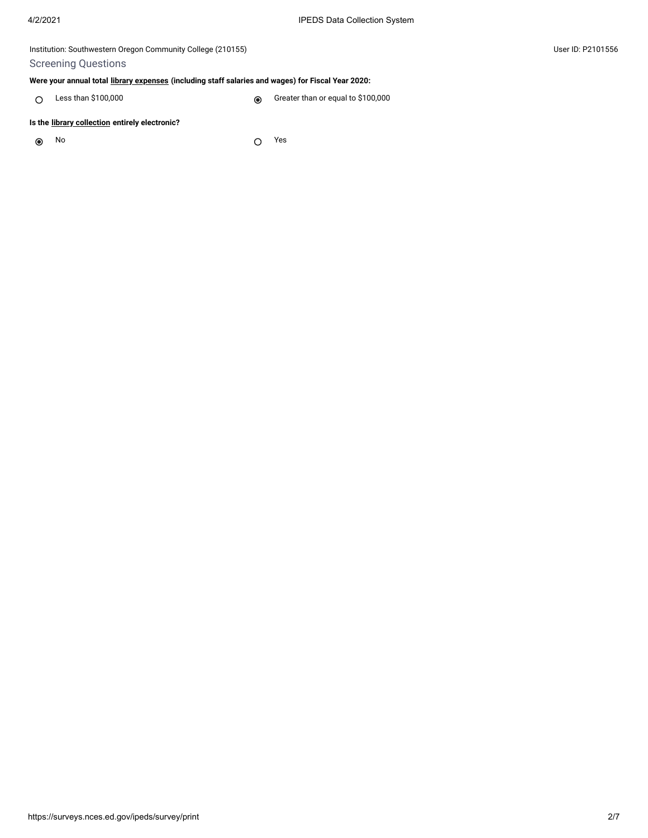## Screening Questions

## **Were your annual total [library expenses](javascript:openglossary(1040)) (including staff salaries and wages) for Fiscal Year 2020:**

C Less than \$100,000 Creater than or equal to \$100,000

### **Is the [library collection](javascript:openglossary(932)) entirely electronic?**

 $\odot$ 

No Yes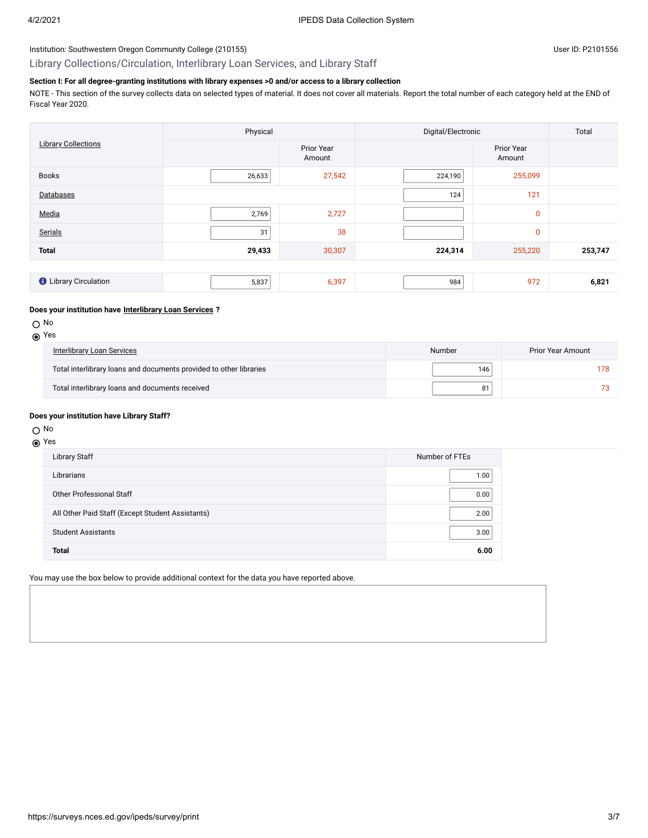### Library Collections/Circulation, Interlibrary Loan Services, and Library Staff

## **Section I: For all degree-granting institutions with library expenses >0 and/or access to a library collection**

NOTE - This section of the survey collects data on selected types of material. It does not cover all materials. Report the total number of each category held at the END of Fiscal Year 2020.

|                              | Physical |                             | Digital/Electronic |                      | Total   |
|------------------------------|----------|-----------------------------|--------------------|----------------------|---------|
| <b>Library Collections</b>   |          | <b>Prior Year</b><br>Amount |                    | Prior Year<br>Amount |         |
| <b>Books</b>                 | 26,633   | 27,542                      | 224,190            | 255,099              |         |
| Databases                    |          |                             | 124                | 121                  |         |
| Media                        | 2,769    | 2,727                       |                    | $\mathbf 0$          |         |
| Serials                      | 31       | 38                          |                    | $\mathbf 0$          |         |
| <b>Total</b>                 | 29,433   | 30,307                      | 224,314            | 255,220              | 253,747 |
|                              |          |                             |                    |                      |         |
| <b>O</b> Library Circulation | 5,837    | 6,397                       | 984                | 972                  | 6,821   |

#### **Does your institution have [Interlibrary Loan Services](javascript:openglossary(1025)) ?**

O No

|  | ۰.<br>۰, |
|--|----------|
|--|----------|

| <b>Interlibrary Loan Services</b>                                  | Number | <b>Prior Year Amount</b> |
|--------------------------------------------------------------------|--------|--------------------------|
| Total interlibrary loans and documents provided to other libraries | 146    |                          |
| Total interlibrary loans and documents received                    | 81     |                          |

### **Does your institution have Library Staff?**

### O No

# Yes

| Library Staff                                    | Number of FTEs |
|--------------------------------------------------|----------------|
| Librarians                                       | 1.00           |
| <b>Other Professional Staff</b>                  | 0.00           |
| All Other Paid Staff (Except Student Assistants) | 2.00           |
| <b>Student Assistants</b>                        | 3.00           |
| <b>Total</b>                                     | 6.00           |

You may use the box below to provide additional context for the data you have reported above.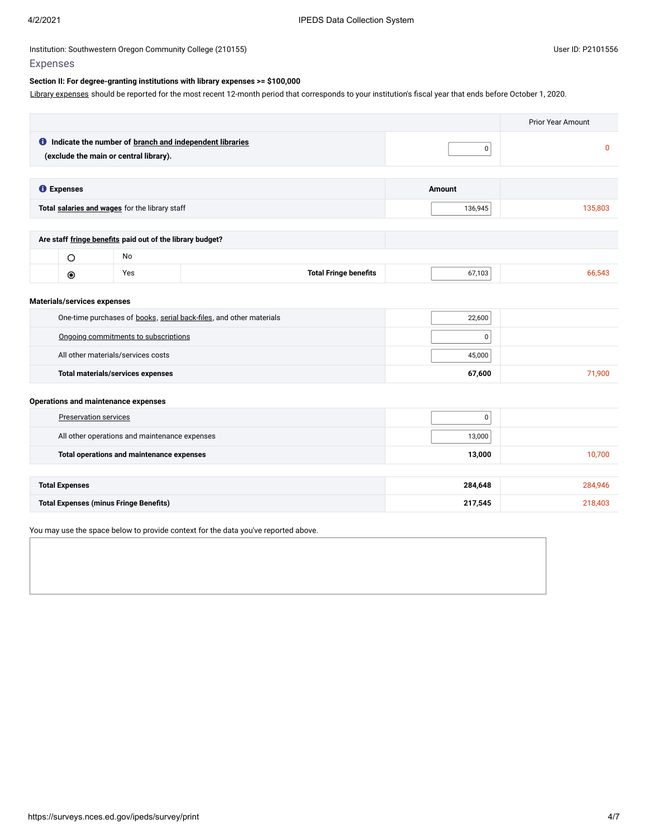#### **Section II: For degree-granting institutions with library expenses >= \$100,000**

Library [expenses](javascript:openglossary(1040)) should be reported for the most recent 12-month period that corresponds to your institution's fiscal year that ends before October 1, 2020.

|                                                                                                            |                              |               | <b>Prior Year Amount</b> |
|------------------------------------------------------------------------------------------------------------|------------------------------|---------------|--------------------------|
| <b>O</b> Indicate the number of branch and independent libraries<br>(exclude the main or central library). |                              | 0             | $\mathbf{0}$             |
|                                                                                                            |                              |               |                          |
| <b>O</b> Expenses                                                                                          |                              | <b>Amount</b> |                          |
| Total salaries and wages for the library staff                                                             |                              | 136,945       | 135,803                  |
|                                                                                                            |                              |               |                          |
| Are staff fringe benefits paid out of the library budget?                                                  |                              |               |                          |
| No<br>$\circ$                                                                                              |                              |               |                          |
| Yes<br>$\circledcirc$                                                                                      | <b>Total Fringe benefits</b> | 67,103        | 66,543                   |
| Materials/services expenses                                                                                |                              |               |                          |
| One-time purchases of books, serial back-files, and other materials                                        |                              | 22,600        |                          |
| Ongoing commitments to subscriptions                                                                       |                              | 0             |                          |
| All other materials/services costs                                                                         |                              | 45,000        |                          |
| <b>Total materials/services expenses</b>                                                                   |                              | 67,600        | 71,900                   |
| Operations and maintenance expenses                                                                        |                              |               |                          |
| <b>Preservation services</b>                                                                               |                              | 0             |                          |
| All other operations and maintenance expenses                                                              |                              | 13,000        |                          |
| Total operations and maintenance expenses                                                                  |                              | 13,000        | 10,700                   |
|                                                                                                            |                              |               |                          |
| <b>Total Expenses</b>                                                                                      |                              | 284,648       | 284,946                  |
| <b>Total Expenses (minus Fringe Benefits)</b>                                                              |                              | 217,545       | 218,403                  |

You may use the space below to provide context for the data you've reported above.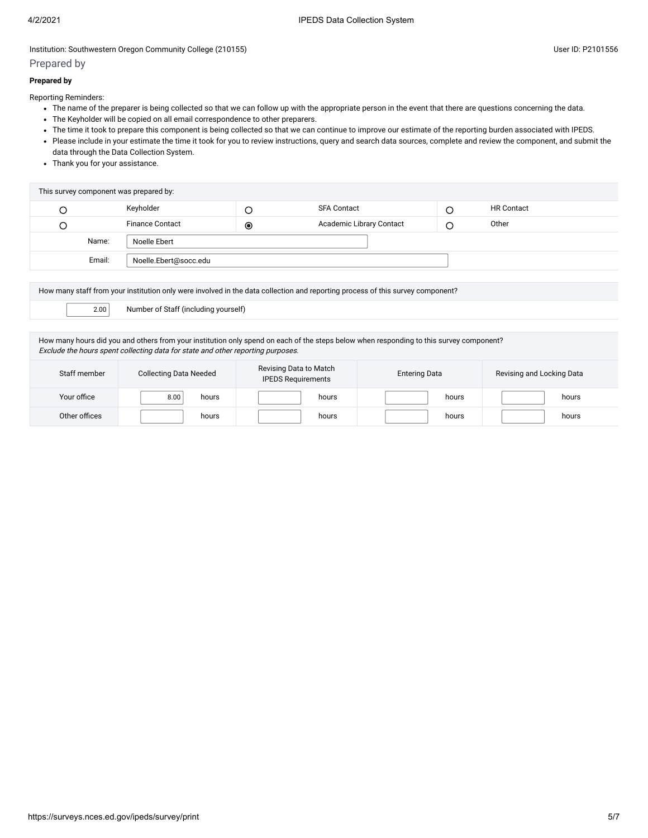# Prepared by

#### **Prepared by**

Reporting Reminders:

- The name of the preparer is being collected so that we can follow up with the appropriate person in the event that there are questions concerning the data.
- The Keyholder will be copied on all email correspondence to other preparers.
- The time it took to prepare this component is being collected so that we can continue to improve our estimate of the reporting burden associated with IPEDS.
- Please include in your estimate the time it took for you to review instructions, query and search data sources, complete and review the component, and submit the data through the Data Collection System.
- Thank you for your assistance.

|        | This survey component was prepared by: |           |                          |                   |
|--------|----------------------------------------|-----------|--------------------------|-------------------|
|        | Keyholder                              |           | <b>SFA Contact</b>       | <b>HR Contact</b> |
|        | <b>Finance Contact</b>                 | $\bullet$ | Academic Library Contact | Other             |
| Name:  | Noelle Ebert                           |           |                          |                   |
| Email: | Noelle.Ebert@socc.edu                  |           |                          |                   |

| How many staff from your institution only were involved in the data collection and reporting process of this survey component?                                                                                             |  |
|----------------------------------------------------------------------------------------------------------------------------------------------------------------------------------------------------------------------------|--|
| Number of Staff (including yourself)<br>2.00                                                                                                                                                                               |  |
|                                                                                                                                                                                                                            |  |
| How many hours did you and others from your institution only spend on each of the steps below when responding to this survey component?<br>Exclude the hours spent collecting data for state and other reporting purposes. |  |
| Revising Data to Match                                                                                                                                                                                                     |  |

| Staff member  | <b>Collecting Data Needed</b> | Revising Data to Match<br><b>IPEDS Requirements</b> | <b>Entering Data</b> | Revising and Locking Data |
|---------------|-------------------------------|-----------------------------------------------------|----------------------|---------------------------|
| Your office   | 8.00<br>hours                 | hours                                               | hours                | hours                     |
| Other offices | hours                         | hours                                               | hours                | hours                     |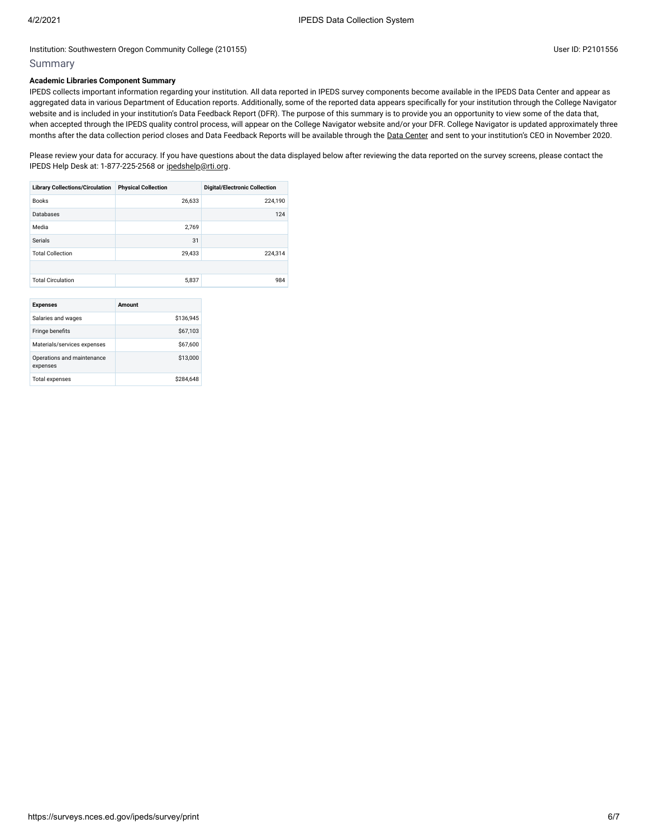## Summary

## **Academic Libraries Component Summary**

IPEDS collects important information regarding your institution. All data reported in IPEDS survey components become available in the IPEDS Data Center and appear as aggregated data in various Department of Education reports. Additionally, some of the reported data appears specifically for your institution through the College Navigator website and is included in your institution's Data Feedback Report (DFR). The purpose of this summary is to provide you an opportunity to view some of the data that, when accepted through the IPEDS quality control process, will appear on the College Navigator website and/or your DFR. College Navigator is updated approximately three months after the data collection period closes and Data Feedback Reports will be available through the Data [Center](https://nces.ed.gov/ipeds/use-the-data) and sent to your institution's CEO in November 2020.

Please review your data for accuracy. If you have questions about the data displayed below after reviewing the data reported on the survey screens, please contact the IPEDS Help Desk at: 1-877-225-2568 or [ipedshelp@rti.org.](mailto:ipedshelp@rti.org)

| <b>Library Collections/Circulation</b> | <b>Physical Collection</b> | <b>Digital/Electronic Collection</b> |
|----------------------------------------|----------------------------|--------------------------------------|
| <b>Books</b>                           | 26,633                     | 224,190                              |
| Databases                              |                            | 124                                  |
| Media                                  | 2.769                      |                                      |
| <b>Serials</b>                         | 31                         |                                      |
| <b>Total Collection</b>                | 29.433                     | 224.314                              |
|                                        |                            |                                      |
| <b>Total Circulation</b>               | 5.837                      | 984                                  |

| <b>Expenses</b>                        | Amount    |
|----------------------------------------|-----------|
| Salaries and wages                     | \$136.945 |
| Fringe benefits                        | \$67,103  |
| Materials/services expenses            | \$67,600  |
| Operations and maintenance<br>expenses | \$13,000  |
| <b>Total expenses</b>                  | \$284.648 |